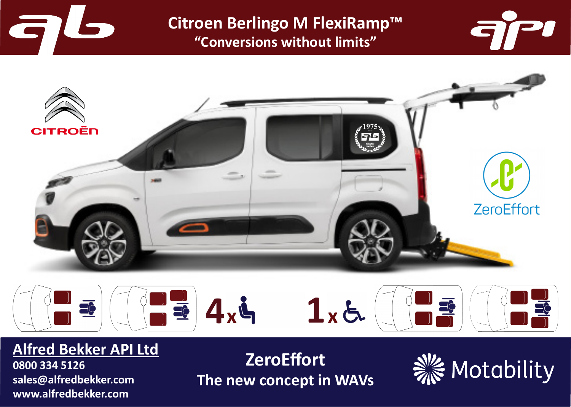

**Citroen Berlingo M FlexiRamp™ "Conversions without limits"**







# **Alfred Bekker API Ltd**

**0800 334 5126 sales@alfredbekker.com www.alfredbekker.com**

**ZeroEffort The new concept in WAVs**